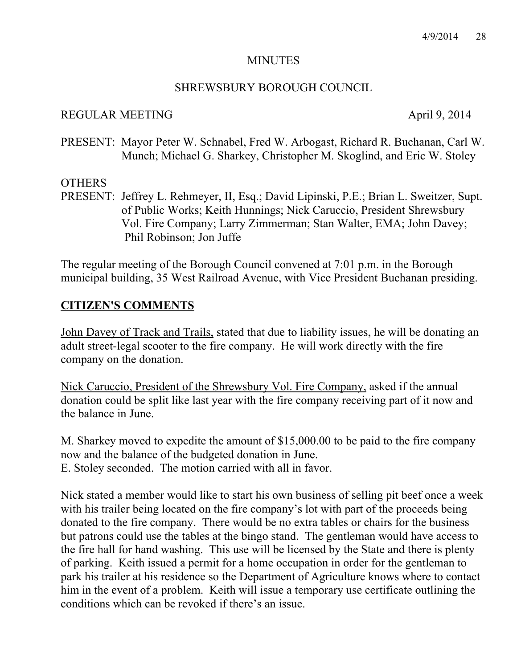#### **MINUTES**

#### SHREWSBURY BOROUGH COUNCIL

#### REGULAR MEETING April 9, 2014

PRESENT: Mayor Peter W. Schnabel, Fred W. Arbogast, Richard R. Buchanan, Carl W. Munch; Michael G. Sharkey, Christopher M. Skoglind, and Eric W. Stoley

#### **OTHERS**

PRESENT: Jeffrey L. Rehmeyer, II, Esq.; David Lipinski, P.E.; Brian L. Sweitzer, Supt. of Public Works; Keith Hunnings; Nick Caruccio, President Shrewsbury Vol. Fire Company; Larry Zimmerman; Stan Walter, EMA; John Davey; Phil Robinson; Jon Juffe

The regular meeting of the Borough Council convened at 7:01 p.m. in the Borough municipal building, 35 West Railroad Avenue, with Vice President Buchanan presiding.

#### **CITIZEN'S COMMENTS**

John Davey of Track and Trails, stated that due to liability issues, he will be donating an adult street-legal scooter to the fire company. He will work directly with the fire company on the donation.

Nick Caruccio, President of the Shrewsbury Vol. Fire Company, asked if the annual donation could be split like last year with the fire company receiving part of it now and the balance in June.

M. Sharkey moved to expedite the amount of \$15,000.00 to be paid to the fire company now and the balance of the budgeted donation in June. E. Stoley seconded. The motion carried with all in favor.

Nick stated a member would like to start his own business of selling pit beef once a week with his trailer being located on the fire company's lot with part of the proceeds being donated to the fire company. There would be no extra tables or chairs for the business but patrons could use the tables at the bingo stand. The gentleman would have access to the fire hall for hand washing. This use will be licensed by the State and there is plenty of parking. Keith issued a permit for a home occupation in order for the gentleman to park his trailer at his residence so the Department of Agriculture knows where to contact him in the event of a problem. Keith will issue a temporary use certificate outlining the conditions which can be revoked if there's an issue.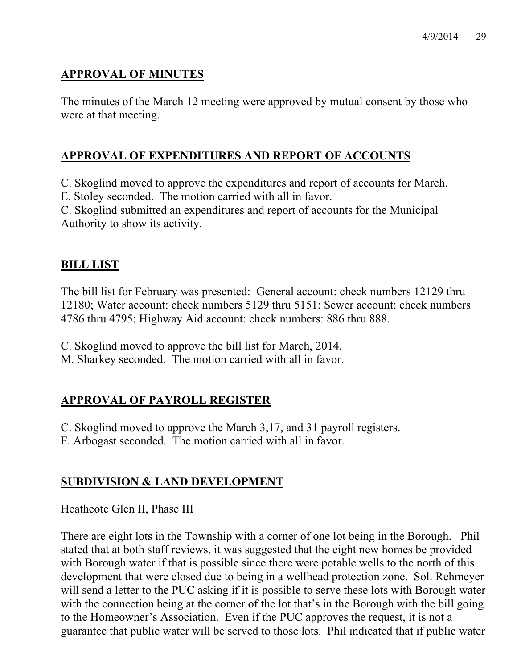# **APPROVAL OF MINUTES**

The minutes of the March 12 meeting were approved by mutual consent by those who were at that meeting.

## **APPROVAL OF EXPENDITURES AND REPORT OF ACCOUNTS**

C. Skoglind moved to approve the expenditures and report of accounts for March.

E. Stoley seconded. The motion carried with all in favor.

C. Skoglind submitted an expenditures and report of accounts for the Municipal Authority to show its activity.

## **BILL LIST**

The bill list for February was presented: General account: check numbers 12129 thru 12180; Water account: check numbers 5129 thru 5151; Sewer account: check numbers 4786 thru 4795; Highway Aid account: check numbers: 886 thru 888.

C. Skoglind moved to approve the bill list for March, 2014.

M. Sharkey seconded. The motion carried with all in favor.

# **APPROVAL OF PAYROLL REGISTER**

C. Skoglind moved to approve the March 3,17, and 31 payroll registers.

F. Arbogast seconded. The motion carried with all in favor.

# **SUBDIVISION & LAND DEVELOPMENT**

## Heathcote Glen II, Phase III

There are eight lots in the Township with a corner of one lot being in the Borough. Phil stated that at both staff reviews, it was suggested that the eight new homes be provided with Borough water if that is possible since there were potable wells to the north of this development that were closed due to being in a wellhead protection zone. Sol. Rehmeyer will send a letter to the PUC asking if it is possible to serve these lots with Borough water with the connection being at the corner of the lot that's in the Borough with the bill going to the Homeowner's Association. Even if the PUC approves the request, it is not a guarantee that public water will be served to those lots. Phil indicated that if public water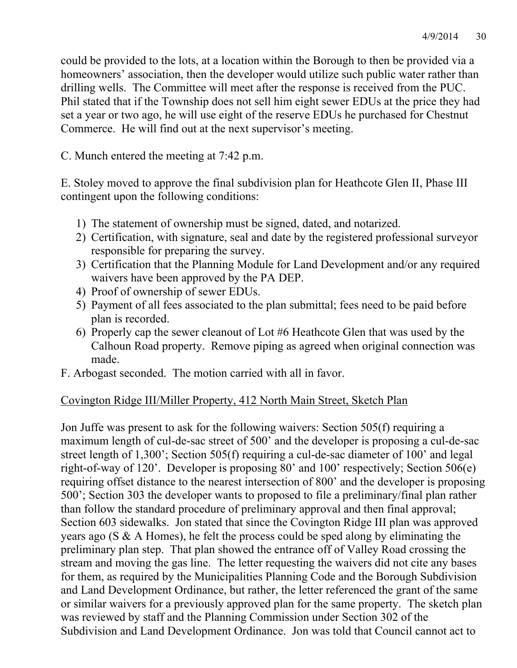could be provided to the lots, at a location within the Borough to then be provided via a homeowners' association, then the developer would utilize such public water rather than drilling wells. The Committee will meet after the response is received from the PUC. Phil stated that if the Township does not sell him eight sewer EDUs at the price they had set a year or two ago, he will use eight of the reserve EDUs he purchased for Chestnut Commerce. He will find out at the next supervisor's meeting.

C. Munch entered the meeting at 7:42 p.m.

E. Stoley moved to approve the final subdivision plan for Heathcote Glen II, Phase III contingent upon the following conditions:

- 1) The statement of ownership must be signed, dated, and notarized.
- 2) Certification, with signature, seal and date by the registered professional surveyor responsible for preparing the survey.
- 3) Certification that the Planning Module for Land Development and/or any required waivers have been approved by the PA DEP.
- 4) Proof of ownership of sewer EDUs.
- 5) Payment of all fees associated to the plan submittal; fees need to be paid before plan is recorded.
- 6) Properly cap the sewer cleanout of Lot #6 Heathcote Glen that was used by the Calhoun Road property. Remove piping as agreed when original connection was made.
- F. Arbogast seconded. The motion carried with all in favor.

# Covington Ridge III/Miller Property, 412 North Main Street, Sketch Plan

Jon Juffe was present to ask for the following waivers: Section 505(f) requiring a maximum length of cul-de-sac street of 500' and the developer is proposing a cul-de-sac street length of 1,300'; Section 505(f) requiring a cul-de-sac diameter of 100' and legal right-of-way of 120'. Developer is proposing 80' and 100' respectively; Section 506(e) requiring offset distance to the nearest intersection of 800' and the developer is proposing 500'; Section 303 the developer wants to proposed to file a preliminary/final plan rather than follow the standard procedure of preliminary approval and then final approval; Section 603 sidewalks. Jon stated that since the Covington Ridge III plan was approved years ago (S & A Homes), he felt the process could be sped along by eliminating the preliminary plan step. That plan showed the entrance off of Valley Road crossing the stream and moving the gas line. The letter requesting the waivers did not cite any bases for them, as required by the Municipalities Planning Code and the Borough Subdivision and Land Development Ordinance, but rather, the letter referenced the grant of the same or similar waivers for a previously approved plan for the same property. The sketch plan was reviewed by staff and the Planning Commission under Section 302 of the Subdivision and Land Development Ordinance. Jon was told that Council cannot act to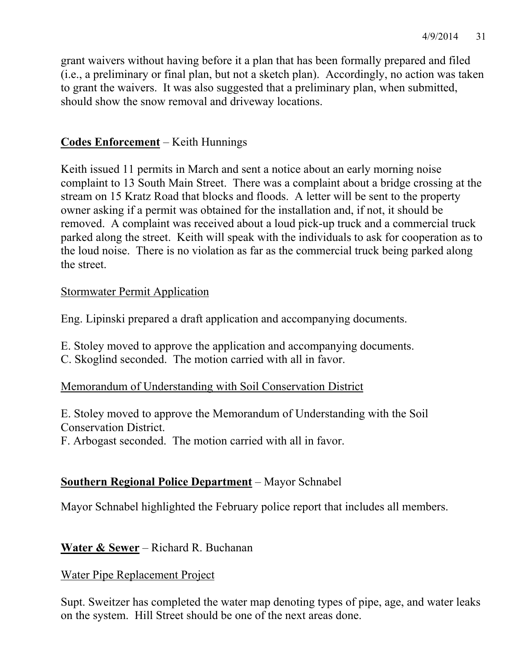grant waivers without having before it a plan that has been formally prepared and filed (i.e., a preliminary or final plan, but not a sketch plan). Accordingly, no action was taken to grant the waivers. It was also suggested that a preliminary plan, when submitted, should show the snow removal and driveway locations.

## **Codes Enforcement** – Keith Hunnings

Keith issued 11 permits in March and sent a notice about an early morning noise complaint to 13 South Main Street. There was a complaint about a bridge crossing at the stream on 15 Kratz Road that blocks and floods. A letter will be sent to the property owner asking if a permit was obtained for the installation and, if not, it should be removed. A complaint was received about a loud pick-up truck and a commercial truck parked along the street. Keith will speak with the individuals to ask for cooperation as to the loud noise. There is no violation as far as the commercial truck being parked along the street.

## Stormwater Permit Application

Eng. Lipinski prepared a draft application and accompanying documents.

- E. Stoley moved to approve the application and accompanying documents.
- C. Skoglind seconded. The motion carried with all in favor.

## Memorandum of Understanding with Soil Conservation District

E. Stoley moved to approve the Memorandum of Understanding with the Soil Conservation District.

F. Arbogast seconded. The motion carried with all in favor.

## **Southern Regional Police Department** – Mayor Schnabel

Mayor Schnabel highlighted the February police report that includes all members.

**Water & Sewer** – Richard R. Buchanan

## Water Pipe Replacement Project

Supt. Sweitzer has completed the water map denoting types of pipe, age, and water leaks on the system. Hill Street should be one of the next areas done.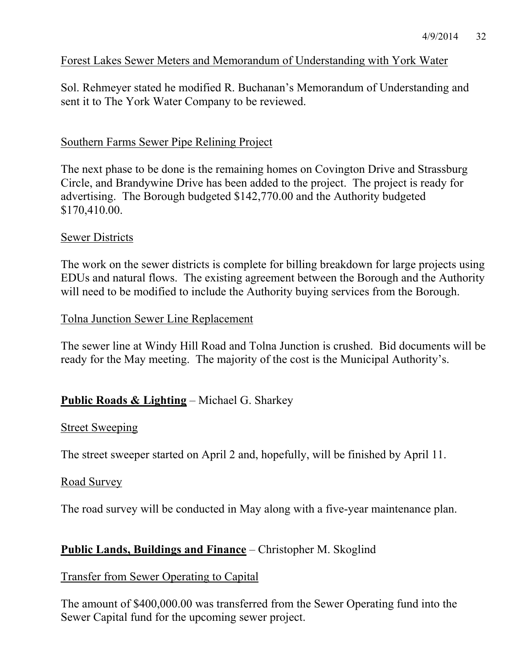#### Forest Lakes Sewer Meters and Memorandum of Understanding with York Water

Sol. Rehmeyer stated he modified R. Buchanan's Memorandum of Understanding and sent it to The York Water Company to be reviewed.

#### Southern Farms Sewer Pipe Relining Project

The next phase to be done is the remaining homes on Covington Drive and Strassburg Circle, and Brandywine Drive has been added to the project. The project is ready for advertising. The Borough budgeted \$142,770.00 and the Authority budgeted \$170,410.00.

#### Sewer Districts

The work on the sewer districts is complete for billing breakdown for large projects using EDUs and natural flows. The existing agreement between the Borough and the Authority will need to be modified to include the Authority buying services from the Borough.

#### Tolna Junction Sewer Line Replacement

The sewer line at Windy Hill Road and Tolna Junction is crushed. Bid documents will be ready for the May meeting. The majority of the cost is the Municipal Authority's.

## **Public Roads & Lighting** – Michael G. Sharkey

#### Street Sweeping

The street sweeper started on April 2 and, hopefully, will be finished by April 11.

#### Road Survey

The road survey will be conducted in May along with a five-year maintenance plan.

#### **Public Lands, Buildings and Finance** – Christopher M. Skoglind

#### Transfer from Sewer Operating to Capital

The amount of \$400,000.00 was transferred from the Sewer Operating fund into the Sewer Capital fund for the upcoming sewer project.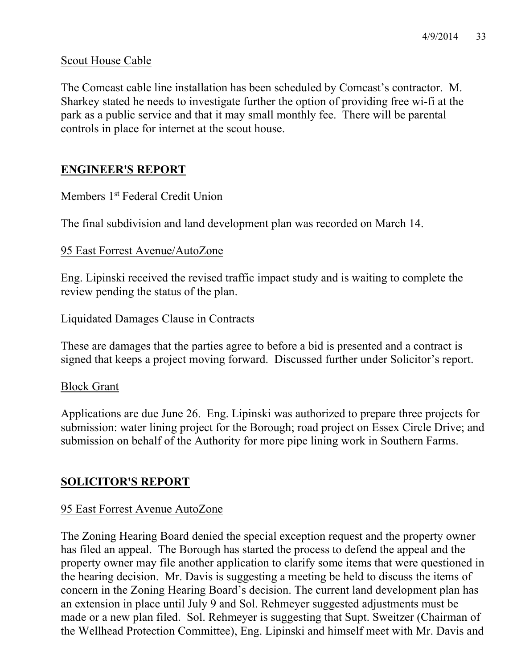#### Scout House Cable

The Comcast cable line installation has been scheduled by Comcast's contractor. M. Sharkey stated he needs to investigate further the option of providing free wi-fi at the park as a public service and that it may small monthly fee. There will be parental controls in place for internet at the scout house.

# **ENGINEER'S REPORT**

## Members 1<sup>st</sup> Federal Credit Union

The final subdivision and land development plan was recorded on March 14.

#### 95 East Forrest Avenue/AutoZone

Eng. Lipinski received the revised traffic impact study and is waiting to complete the review pending the status of the plan.

#### Liquidated Damages Clause in Contracts

These are damages that the parties agree to before a bid is presented and a contract is signed that keeps a project moving forward. Discussed further under Solicitor's report.

## Block Grant

Applications are due June 26. Eng. Lipinski was authorized to prepare three projects for submission: water lining project for the Borough; road project on Essex Circle Drive; and submission on behalf of the Authority for more pipe lining work in Southern Farms.

## **SOLICITOR'S REPORT**

#### 95 East Forrest Avenue AutoZone

The Zoning Hearing Board denied the special exception request and the property owner has filed an appeal. The Borough has started the process to defend the appeal and the property owner may file another application to clarify some items that were questioned in the hearing decision. Mr. Davis is suggesting a meeting be held to discuss the items of concern in the Zoning Hearing Board's decision. The current land development plan has an extension in place until July 9 and Sol. Rehmeyer suggested adjustments must be made or a new plan filed. Sol. Rehmeyer is suggesting that Supt. Sweitzer (Chairman of the Wellhead Protection Committee), Eng. Lipinski and himself meet with Mr. Davis and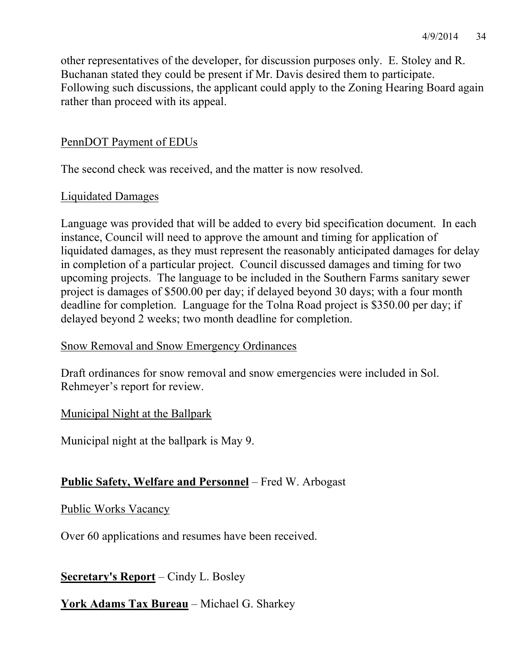other representatives of the developer, for discussion purposes only. E. Stoley and R. Buchanan stated they could be present if Mr. Davis desired them to participate. Following such discussions, the applicant could apply to the Zoning Hearing Board again rather than proceed with its appeal.

#### PennDOT Payment of EDUs

The second check was received, and the matter is now resolved.

#### Liquidated Damages

Language was provided that will be added to every bid specification document. In each instance, Council will need to approve the amount and timing for application of liquidated damages, as they must represent the reasonably anticipated damages for delay in completion of a particular project. Council discussed damages and timing for two upcoming projects. The language to be included in the Southern Farms sanitary sewer project is damages of \$500.00 per day; if delayed beyond 30 days; with a four month deadline for completion. Language for the Tolna Road project is \$350.00 per day; if delayed beyond 2 weeks; two month deadline for completion.

#### Snow Removal and Snow Emergency Ordinances

Draft ordinances for snow removal and snow emergencies were included in Sol. Rehmeyer's report for review.

## Municipal Night at the Ballpark

Municipal night at the ballpark is May 9.

## **Public Safety, Welfare and Personnel** – Fred W. Arbogast

#### Public Works Vacancy

Over 60 applications and resumes have been received.

**Secretary's Report** – Cindy L. Bosley

## **York Adams Tax Bureau** – Michael G. Sharkey